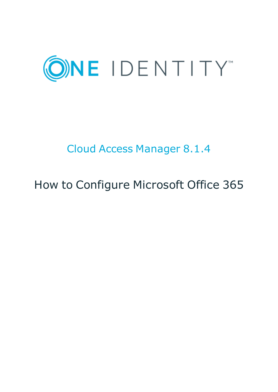

### Cloud Access Manager 8.1.4

## How to Configure Microsoft Office 365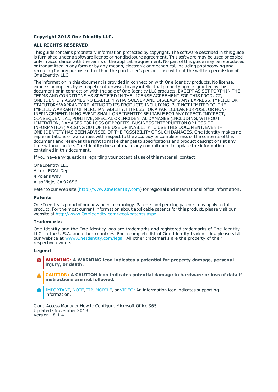#### **Copyright 2018 One Identity LLC.**

#### **ALL RIGHTS RESERVED.**

This guide contains proprietary information protected by copyright. The software described in this guide is furnished under a software license or nondisclosure agreement. This software may be used or copied only in accordance with the terms of the applicable agreement. No part of this guide may be reproduced or transmitted in any form or by any means, electronic or mechanical, including photocopying and recording for any purpose other than the purchaser's personal use without the written permission of One Identity LLC .

The information in this document is provided in connection with One Identity products. No license, express or implied, by estoppel or otherwise, to any intellectual property right is granted by this document or in connection with the sale of One Identity LLC products. EXCEPT AS SET FORTH IN THE TERMS AND CONDITIONS AS SPECIFIED IN THE LICENSE AGREEMENT FOR THIS PRODUCT, ONE IDENTITY ASSUMES NO LIABILITY WHATSOEVER AND DISCLAIMS ANY EXPRESS, IMPLIED OR STATUTORY WARRANTY RELATING TO ITS PRODUCTS INCLUDING, BUT NOT LIMITED TO, THE IMPLIED WARRANTY OF MERCHANTABILITY, FITNESS FOR A PARTICULAR PURPOSE, OR NON-INFRINGEMENT. IN NO EVENT SHALL ONE IDENTITY BE LIABLE FOR ANY DIRECT, INDIRECT, CONSEQUENTIAL, PUNITIVE, SPECIAL OR INCIDENTAL DAMAGES (INCLUDING, WITHOUT LIMITATION, DAMAGES FOR LOSS OF PROFITS, BUSINESS INTERRUPTION OR LOSS OF INFORMATION) ARISING OUT OF THE USE OR INABILITY TO USE THIS DOCUMENT, EVEN IF ONE IDENTITY HAS BEEN ADVISED OF THE POSSIBILITY OF SUCH DAMAGES. One Identity makes no representations or warranties with respect to the accuracy or completeness of the contents of this document and reserves the right to make changes to specifications and product descriptions at any time without notice. One Identity does not make any commitment to update the information contained in this document.

If you have any questions regarding your potential use of this material, contact:

One Identity LLC. Attn: LEGAL Dept 4 Polaris Way Aliso Viejo, CA 92656

Refer to our Web site ([http://www.OneIdentity.com](http://www.oneidentity.com/)) for regional and international office information.

#### **Patents**

One Identity is proud of our advanced technology. Patents and pending patents may apply to this product. For the most current information about applicable patents for this product, please visit our website at [http://www.OneIdentity.com/legal/patents.aspx](http://www.oneidentity.com/legal/patents.aspx).

#### **Trademarks**

One Identity and the One Identity logo are trademarks and registered trademarks of One Identity LLC. in the U.S.A. and other countries. For a complete list of One Identity trademarks, please visit our website at [www.OneIdentity.com/legal](http://www.oneidentity.com/legal). All other trademarks are the property of their respective owners.

#### **Legend**

- **WARNING: A WARNING icon indicates a potential for property damage, personal injury, or death.**
- **CAUTION: A CAUTION icon indicates potential damage to hardware or loss of data if instructions are not followed.**
- IMPORTANT, NOTE, TIP, MOBILE, or VIDEO: An information icon indicates supporting Œ information.

Cloud Access Manager How to Configure Microsoft Office 365 Updated - November 2018 Version - 8.1.4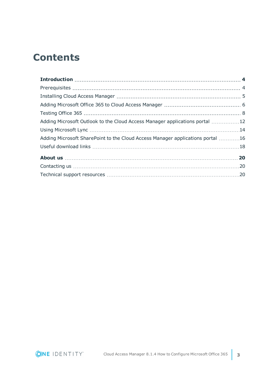### **Contents**

| Adding Microsoft Outlook to the Cloud Access Manager applications portal 12    |  |
|--------------------------------------------------------------------------------|--|
|                                                                                |  |
| Adding Microsoft SharePoint to the Cloud Access Manager applications portal 16 |  |
|                                                                                |  |
|                                                                                |  |
|                                                                                |  |
|                                                                                |  |

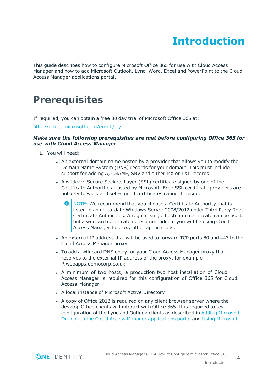### **Introduction**

<span id="page-3-0"></span>This guide describes how to configure Microsoft Office 365 for use with Cloud Access Manager and how to add Microsoft Outlook, Lync, Word, Excel and PowerPoint to the Cloud Access Manager applications portal.

### <span id="page-3-1"></span>**Prerequisites**

If required, you can obtain a free 30 day trial of Microsoft Office 365 at:

<http://office.microsoft.com/en-gb/try>

#### *Make sure the following prerequisites are met before configuring Office 365 for use with Cloud Access Manager*

- 1. You will need:
	- An external domain name hosted by a provider that allows you to modify the Domain Name System (DNS) records for your domain. This must include support for adding A, CNAME, SRV and either MX or TXT records.
	- A wildcard Secure Sockets Layer (SSL) certificate signed by one of the Certificate Authorities trusted by Microsoft. Free SSL certificate providers are unlikely to work and self-signed certificates cannot be used.
		- G) NOTE: We recommend that you choose a Certificate Authority that is listed in an up-to-date Windows Server 2008/2012 under Third Party Root Certificate Authorities. A regular single hostname certificate can be used, but a wildcard certificate is recommended if you will be using Cloud Access Manager to proxy other applications.
	- An external IP address that will be used to forward TCP ports 80 and 443 to the Cloud Access Manager proxy
	- To add a wildcard DNS entry for your Cloud Access Manager proxy that resolves to the external IP address of the proxy, for example \*.webapps.democorp.co.uk
	- A minimum of two hosts; a production two host installation of Cloud Access Manager is required for this configuration of Office 365 for Cloud Access Manager
	- A local instance of Microsoft Active Directory
	- A copy of Office 2013 is required on any client browser server where the desktop Office clients will interact with Office 365. It is required to test configuration of the Lync and Outlook clients as described in Adding [Microsoft](#page-11-0) Outlook to the Cloud Access Manager [applications](#page-11-0) portal and Using [Microsoft](#page-13-0)

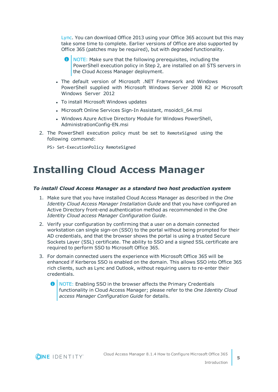[Lync.](#page-13-0) You can download Office 2013 using your Office 365 account but this may take some time to complete. Earlier versions of Office are also supported by Office 365 (patches may be required), but with degraded functionality.

- 6 NOTE: Make sure that the following prerequisites, including the PowerShell execution policy in Step 2, are installed on all STS servers in the Cloud Access Manager deployment.
- The default version of Microsoft .NET Framework and Windows PowerShell supplied with Microsoft Windows Server 2008 R2 or Microsoft Windows Server 2012
- To install Microsoft Windows updates
- Microsoft Online Services Sign-In Assistant, msoidcli 64.msi
- Windows Azure Active Directory Module for Windows PowerShell, AdministrationConfig-EN.msi
- 2. The PowerShell execution policy must be set to RemoteSigned using the following command:
	- PS> Set-ExecutionPolicy RemoteSigned

### <span id="page-4-0"></span>**Installing Cloud Access Manager**

#### *To install Cloud Access Manager as a standard two host production system*

- 1. Make sure that you have installed Cloud Access Manager as described in the *One Identity Cloud Access Manager Installation Guide* and that you have configured an Active Directory front-end authentication method as recommended in the *One Identity Cloud access Manager Configuration Guide*.
- 2. Verify your configuration by confirming that a user on a domain connected workstation can single sign-on (SSO) to the portal without being prompted for their AD credentials, and that the browser shows the portal is using a trusted Secure Sockets Layer (SSL) certificate. The ability to SSO and a signed SSL certificate are required to perform SSO to Microsoft Office 365.
- 3. For domain connected users the experience with Microsoft Office 365 will be enhanced if Kerberos SSO is enabled on the domain. This allows SSO into Office 365 rich clients, such as Lync and Outlook, without requiring users to re-enter their credentials.
	- NOTE: Enabling SSO in the browser affects the Primary Credentials functionality in Cloud Access Manager; please refer to the *One Identity Cloud access Manager Configuration Guide* for details.

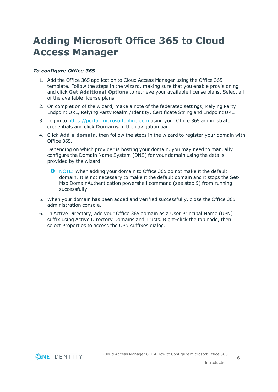### <span id="page-5-0"></span>**Adding Microsoft Office 365 to Cloud Access Manager**

#### *To configure Office 365*

- 1. Add the Office 365 application to Cloud Access Manager using the Office 365 template. Follow the steps in the wizard, making sure that you enable provisioning and click **Get Additional Options** to retrieve your available license plans. Select all of the available license plans.
- 2. On completion of the wizard, make a note of the federated settings, Relying Party Endpoint URL, Relying Party Realm /Identity, Certificate String and Endpoint URL.
- 3. Log in to [https://portal.microsoftonline.com](https://portal.microsoftonline.com/) using your Office 365 administrator credentials and click **Domains** in the navigation bar.
- 4. Click **Add a domain**, then follow the steps in the wizard to register your domain with Office 365.

Depending on which provider is hosting your domain, you may need to manually configure the Domain Name System (DNS) for your domain using the details provided by the wizard.

- 6 NOTE: When adding your domain to Office 365 do not make it the default domain. It is not necessary to make it the default domain and it stops the Set-MsolDomainAuthentication powershell command (see step 9) from running successfully.
- 5. When your domain has been added and verified successfully, close the Office 365 administration console.
- 6. In Active Directory, add your Office 365 domain as a User Principal Name (UPN) suffix using Active Directory Domains and Trusts. Right-click the top node, then select Properties to access the UPN suffixes dialog.

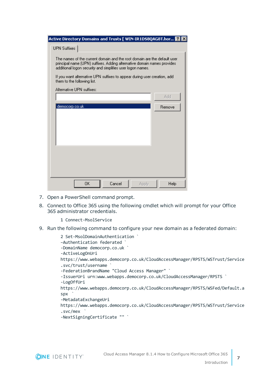| Active Directory Domains and Trusts [ WIN-IR1D58QAG8T.hor 2 X                                                                                                                                                     |        |  |  |
|-------------------------------------------------------------------------------------------------------------------------------------------------------------------------------------------------------------------|--------|--|--|
| UPN Suffixes                                                                                                                                                                                                      |        |  |  |
| The names of the current domain and the root domain are the default user<br>principal name (UPN) suffixes. Adding alternative domain names provides<br>additional logon security and simplifies user logon names. |        |  |  |
| If you want alternative UPN suffixes to appear during user creation, add<br>them to the following list.                                                                                                           |        |  |  |
| Alternative LIPN suffixes:                                                                                                                                                                                        |        |  |  |
|                                                                                                                                                                                                                   | Add    |  |  |
| democorp.co.uk                                                                                                                                                                                                    | Remove |  |  |
| 0K<br>Cancel<br>Apply                                                                                                                                                                                             | Help   |  |  |

- 7. Open a PowerShell command prompt.
- 8. Connect to Office 365 using the following cmdlet which will prompt for your Office 365 administrator credentials.
	- 1 Connect-MsolService
- 9. Run the following command to configure your new domain as a federated domain:

```
2 Set-MsolDomainAuthentication `
–Authentication federated `
-DomainName democorp.co.uk `
-ActiveLogOnUri
https://www.webapps.democorp.co.uk/CloudAccessManager/RPSTS/WSTrust/Service
.svc/trust/username `
-FederationBrandName "Cloud Access Manager" `
-IssuerUri urn:www.webapps.democorp.co.uk/CloudAccessManager/RPSTS `
-LogOffUri
https://www.webapps.democorp.co.uk/CloudAccessManager/RPSTS/WSFed/Default.a
spx `
-MetadataExchangeUri
https://www.webapps.democorp.co.uk/CloudAccessManager/RPSTS/WSTrust/Service
.svc/mex `
-NextSigningCertificate "" `
```
**7**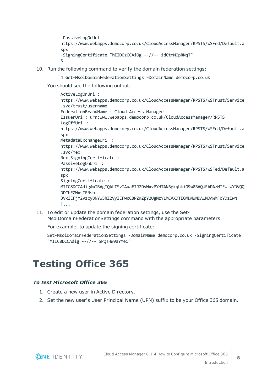```
-PassiveLogOnUri
https://www.webapps.democorp.co.uk/CloudAccessManager/RPSTS/WSFed/Default.a
snx-SigningCertificate "MIIDOzCCAiOg --//-- idCtmMQpRNqT"
\overline{a}
```
- 10. Run the following command to verify the domain federation settings:
	- 4 Get-MsolDomainFederationSettings –DomainName democorp.co.uk

You should see the following output:

```
ActiveLogOnUri :
https://www.webapps.democorp.co.uk/CloudAccessManager/RPSTS/WSTrust/Service
.svc/trust/username
FederationBrandName : Cloud Access Manager
IssuerUri : urn:www.webapps.democorp.co.uk/CloudAccessManager/RPSTS
LogOffUri :
https://www.webapps.democorp.co.uk/CloudAccessManager/RPSTS/WSFed/Default.a
spx
MetadataExchangeUri :
https://www.webapps.democorp.co.uk/CloudAccessManager/RPSTS/WSTrust/Service
.svc/mex
NextSigningCertificate :
PassiveLogOnUri :
https://www.webapps.democorp.co.uk/CloudAccessManager/RPSTS/WSFed/Default.a
spx
SigningCertificate :
MIIC8DCCAdigAwIBAgIQALTSvTAuaEIJ2DvWxvPYHTANBgkqhkiG9w0BAQUFADAzMTEwLwYDVQQ
DDChEZWxsIENsb
3VkIEFjY2VzcyBNYW5hZ2VyIEFwcCBPZmZpY2UgMzY1MCAXDTE0MDMwNDAwMDAwMFoYDzIwN
T...
```
11. To edit or update the domain federation settings, use the Set-MsolDomainFederationSettings command with the appropriate parameters.

For example, to update the signing certificate:

Set-MsolDomainFederationSettings -DomainName democorp.co.uk -SigningCertificate "MIIC8DCCAdig --//-- SPQTHw9aYYeC"

### <span id="page-7-0"></span>**Testing Office 365**

#### *To test Microsoft Office 365*

- 1. Create a new user in Active Directory.
- 2. Set the new user's User Principal Name (UPN) suffix to be your Office 365 domain.

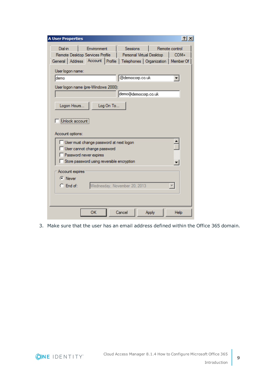| <b>A User Properties</b><br> ? X                                                                                                                                                                                             |  |  |  |  |
|------------------------------------------------------------------------------------------------------------------------------------------------------------------------------------------------------------------------------|--|--|--|--|
| Environment<br><b>Sessions</b><br><b>Dial-in</b><br>Remote control<br>Remote Desktop Services Profile<br>Personal Virtual Desktop<br>$COM+$<br>General   Address   Account   Profile   Telephones   Organization   Member Of |  |  |  |  |
| User logon name:<br>@democorp.co.uk<br><b>demo</b>                                                                                                                                                                           |  |  |  |  |
| User logon name (pre-Windows 2000):<br>demo@democorp.co.uk                                                                                                                                                                   |  |  |  |  |
| Logon Hours<br>Log On To<br>Unlock account<br>Account options:                                                                                                                                                               |  |  |  |  |
| User must change password at next logon<br>User cannot change password<br>Password never expires<br>Store password using reversible encryption                                                                               |  |  |  |  |
| Account expires<br>$\bullet$ Never<br>$\bigcirc$ End of:<br>Wednesday, November 20, 2013                                                                                                                                     |  |  |  |  |
| ОΚ<br>Cancel<br>Apply<br>Help                                                                                                                                                                                                |  |  |  |  |

3. Make sure that the user has an email address defined within the Office 365 domain.

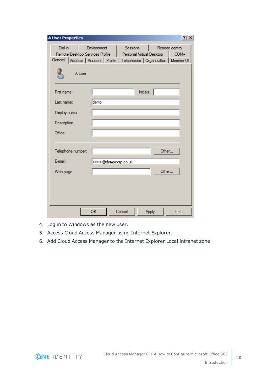| <b>A User Properties</b>                                                                                                                     |                     |                                      | $ ?  \times$           |
|----------------------------------------------------------------------------------------------------------------------------------------------|---------------------|--------------------------------------|------------------------|
| <b>Dial-in</b><br>Remote Desktop Services Profile<br>General   Address   Account   Profile   Telephones   Organization   Member Of<br>A User | Environment         | Sessions<br>Personal Virtual Desktop | Remote control<br>COM+ |
| First name:<br>Last name:<br>Display name:<br>Description:                                                                                   | demo                | Initials:                            |                        |
| Office:<br>Telephone number:                                                                                                                 |                     |                                      | Other                  |
| E-mail:<br>Web page:                                                                                                                         | demo@democorp.co.uk |                                      | Other                  |
|                                                                                                                                              |                     |                                      |                        |
|                                                                                                                                              | ОК<br>Cancel        | Apply                                | Help                   |

- 4. Log in to Windows as the new user.
- 5. Access Cloud Access Manager using Internet Explorer.
- 6. Add Cloud Access Manager to the Internet Explorer Local intranet zone.

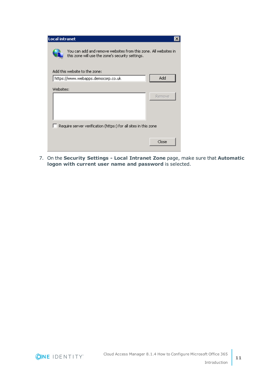| You can add and remove websites from this zone. All websites in<br>this zone will use the zone's security settings. |
|---------------------------------------------------------------------------------------------------------------------|
|                                                                                                                     |
| Add<br>https://www.webapps.democorp.co.uk                                                                           |
|                                                                                                                     |
| Remove                                                                                                              |
|                                                                                                                     |
|                                                                                                                     |
| Require server verification (https:) for all sites in this zone                                                     |
|                                                                                                                     |
| Close                                                                                                               |
|                                                                                                                     |

7. On the **Security Settings - Local Intranet Zone** page, make sure that **Automatic logon with current user name and password** is selected.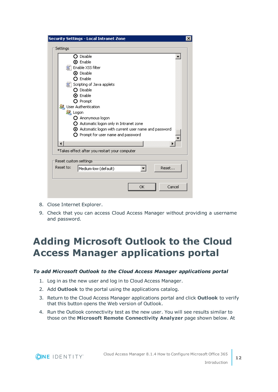|           | <b>Security Settings - Local Intranet Zone</b>              |
|-----------|-------------------------------------------------------------|
| Settings  |                                                             |
|           | $\Omega$ Disable                                            |
|           | <b>O</b> Enable                                             |
|           | 氢"I Enable XSS filter                                       |
|           | ⊙ Disable                                                   |
|           | $\Omega$ Enable                                             |
|           | 写 Scripting of Java applets                                 |
|           | $\Omega$ Disable                                            |
|           | $\boldsymbol{\Theta}$ Enable                                |
|           | O Prompt                                                    |
|           | <b>St.</b> User Authentication                              |
|           | Logon<br>O Anonymous logon                                  |
|           | O Automatic logon only in Intranet zone                     |
|           | $\odot$ Automatic logon with current user name and password |
|           | $\bigcirc$ Prompt for user name and password                |
|           |                                                             |
|           |                                                             |
|           | *Takes effect after you restart your computer               |
|           | Reset custom settings                                       |
| Reset to: | Reset<br>Medium-low (default)                               |
|           |                                                             |
|           |                                                             |
|           | Cancel<br>OK                                                |

- 8. Close Internet Explorer.
- 9. Check that you can access Cloud Access Manager without providing a username and password.

### <span id="page-11-0"></span>**Adding Microsoft Outlook to the Cloud Access Manager applications portal**

#### *To add Microsoft Outlook to the Cloud Access Manager applications portal*

- 1. Log in as the new user and log in to Cloud Access Manager.
- 2. Add **Outlook** to the portal using the applications catalog.
- 3. Return to the Cloud Access Manager applications portal and click **Outlook** to verify that this button opens the Web version of Outlook.
- 4. Run the Outlook connectivity test as the new user. You will see results similar to those on the **Microsoft Remote Connectivity Analyzer** page shown below. At

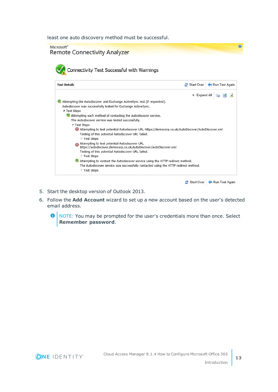least one auto discovery method must be successful.

| Microsoft <sup>®</sup><br><b>Remote Connectivity Analyzer</b><br>Connectivity Test Successful with Warnings                                                                                                                                                                      |                     |                |
|----------------------------------------------------------------------------------------------------------------------------------------------------------------------------------------------------------------------------------------------------------------------------------|---------------------|----------------|
| <b>Test Details</b>                                                                                                                                                                                                                                                              | <b>Start Over</b>   | Run Test Again |
|                                                                                                                                                                                                                                                                                  | <b>*</b> Expand All |                |
| Attempting the Autodiscover and Exchange ActiveSync test (if requested).<br>Autodiscover was successfully tested for Exchange ActiveSync.<br>▲ Test Steps<br>Attempting each method of contacting the Autodiscover service.<br>The Autodiscover service was tested successfully. |                     |                |
| ▲ Test Steps<br>Attempting to test potential Autodiscover URL https://democorp.co.uk/AutoDiscover/AutoDiscover.xml<br>Testing of this potential Autodiscover URL failed.<br>▷ Test Steps                                                                                         |                     |                |
| Attempting to test potential Autodiscover URL<br>https://autodiscover.democorp.co.uk/AutoDiscover/AutoDiscover.xml<br>Testing of this potential Autodiscover URL failed.<br>▷ Test Steps                                                                                         |                     |                |
| A Attempting to contact the Autodiscover service using the HTTP redirect method.<br>The Autodiscover service was successfully contacted using the HTTP redirect method.<br>Test Steps                                                                                            |                     |                |

Start Over Run Test Again

- 5. Start the desktop version of Outlook 2013.
- 6. Follow the **Add Account** wizard to set up a new account based on the user's detected email address.
	- **O** NOTE: You may be prompted for the user's credentials more than once. Select **Remember password**.

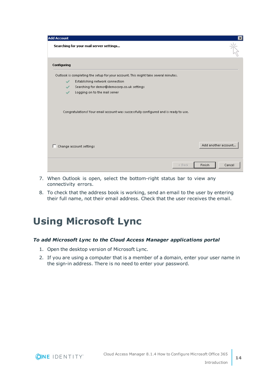| <b>Add Account</b> |                                                                                      | $\vert x \vert$     |
|--------------------|--------------------------------------------------------------------------------------|---------------------|
|                    | Searching for your mail server settings                                              |                     |
| Configuring        |                                                                                      |                     |
|                    | Outlook is completing the setup for your account. This might take several minutes.   |                     |
| $\checkmark$       | Establishing network connection                                                      |                     |
| $\checkmark$       | Searching for demo@democorp.co.uk settings                                           |                     |
| ✓                  | Logging on to the mail server                                                        |                     |
|                    | Congratulations! Your email account was successfully configured and is ready to use. |                     |
| п                  | Change account settings                                                              | Add another account |
|                    | $<$ Back                                                                             | Finish<br>Cancel    |

- 7. When Outlook is open, select the bottom-right status bar to view any connectivity errors.
- 8. To check that the address book is working, send an email to the user by entering their full name, not their email address. Check that the user receives the email.

### <span id="page-13-0"></span>**Using Microsoft Lync**

#### *To add Microsoft Lync to the Cloud Access Manager applications portal*

- 1. Open the desktop version of Microsoft Lync.
- 2. If you are using a computer that is a member of a domain, enter your user name in the sign-in address. There is no need to enter your password.

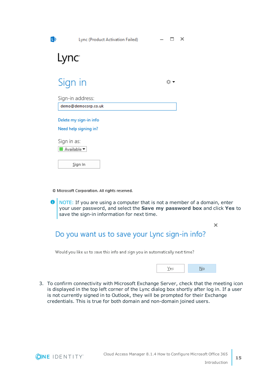| L)                | Lync (Product Activation Failed) | $\times$ |  |
|-------------------|----------------------------------|----------|--|
| Lync <sup>.</sup> |                                  |          |  |
|                   | Sign in                          | o.       |  |
|                   | Sign-in address:                 |          |  |
|                   | demo@democorp.co.uk              |          |  |
|                   | Delete my sign-in info           |          |  |
|                   | Need help signing in?            |          |  |
| Sign in as:       |                                  |          |  |
|                   | Available $\blacktriangledown$   |          |  |
|                   | Sign In                          |          |  |

© Microsoft Corporation. All rights reserved.

⋒ NOTE: If you are using a computer that is not a member of a domain, enter your user password, and select the **Save my password box** and click **Yes** to save the sign-in information for next time.

### Do you want us to save your Lync sign-in info?

Would you like us to save this info and sign you in automatically next time?

|--|--|

×

3. To confirm connectivity with Microsoft Exchange Server, check that the meeting icon is displayed in the top left corner of the Lync dialog box shortly after log in. If a user is not currently signed in to Outlook, they will be prompted for their Exchange credentials. This is true for both domain and non-domain joined users.

**15**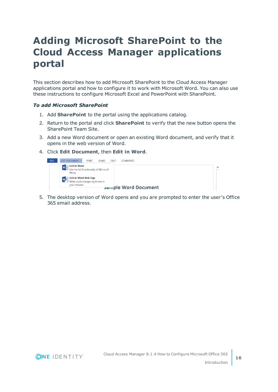### <span id="page-15-0"></span>**Adding Microsoft SharePoint to the Cloud Access Manager applications portal**

This section describes how to add Microsoft SharePoint to the Cloud Access Manager applications portal and how to configure it to work with Microsoft Word. You can also use these instructions to configure Microsoft Excel and PowerPoint with SharePoint.

#### *To add Microsoft SharePoint*

- 1. Add **SharePoint** to the portal using the applications catalog.
- 2. Return to the portal and click **SharePoint** to verify that the new button opens the SharePoint Team Site.
- 3. Add a new Word document or open an existing Word document, and verify that it opens in the web version of Word.
- 4. Click **Edit Document**, then **Edit in Word**.



5. The desktop version of Word opens and you are prompted to enter the user's Office 365 email address.

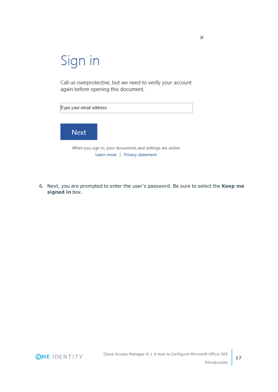# Sign in

Call us overprotective, but we need to verify your account again before opening this document.



6. Next, you are prompted to enter the user's password. Be sure to select the **Keep me signed in** box.

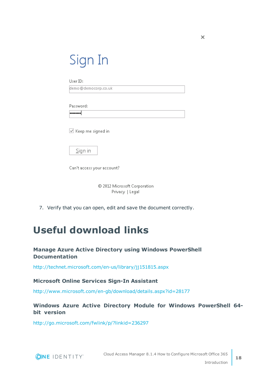| Sign In |  |
|---------|--|
|         |  |

User ID:

demo@democorp.co.uk

Password:

**........** 

 $\boxed{\triangle}$  Keep me signed in

 $Singn$  in

Can't access your account?

© 2012 Microsoft Corporation Privacy | Legal

<span id="page-17-0"></span>7. Verify that you can open, edit and save the document correctly.

### **Useful download links**

#### **Manage Azure Active Directory using Windows PowerShell Documentation**

<http://technet.microsoft.com/en-us/library/jj151815.aspx>

#### **Microsoft Online Services Sign-In Assistant**

<http://www.microsoft.com/en-gb/download/details.aspx?id=28177>

#### **Windows Azure Active Directory Module for Windows PowerShell 64 bit version**

<http://go.microsoft.com/fwlink/p/?linkid=236297>

**ONE IDENTITY** 

Cloud Access Manager 8.1.4 How to Configure Microsoft Office 365 Introduction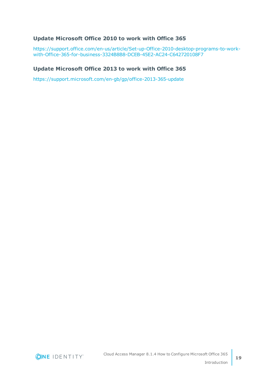#### **Update Microsoft Office 2010 to work with Office 365**

[https://support.office.com/en-us/article/Set-up-Office-2010-desktop-programs-to-work](https://support.office.com/en-us/article/Set-up-Office-2010-desktop-programs-to-work-with-Office-365-for-business-3324B8B8-DCEB-45E2-AC24-C642720108F7)[with-Office-365-for-business-3324B8B8-DCEB-45E2-AC24-C642720108F7](https://support.office.com/en-us/article/Set-up-Office-2010-desktop-programs-to-work-with-Office-365-for-business-3324B8B8-DCEB-45E2-AC24-C642720108F7)

#### **Update Microsoft Office 2013 to work with Office 365**

<https://support.microsoft.com/en-gb/gp/office-2013-365-update>